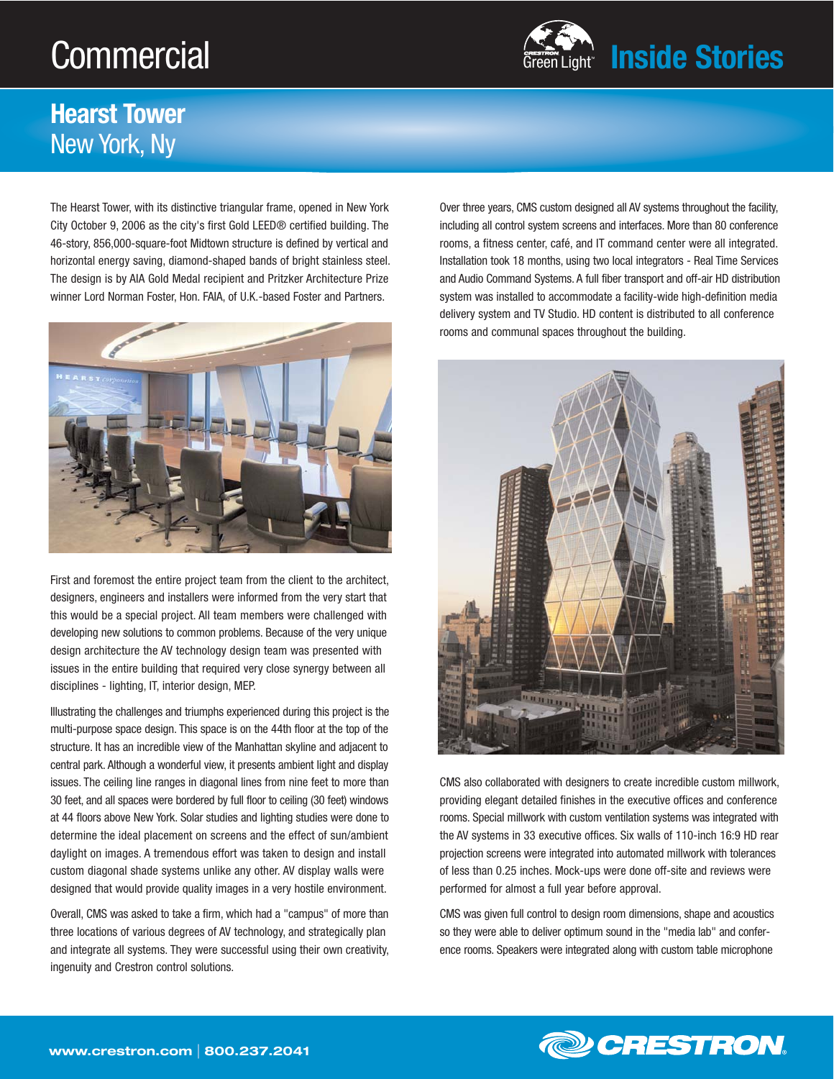## **Commercial**



## **Hearst Tower** New York, Ny

The Hearst Tower, with its distinctive triangular frame, opened in New York City October 9, 2006 as the city's first Gold LEED® certified building. The 46-story, 856,000-square-foot Midtown structure is defined by vertical and horizontal energy saving, diamond-shaped bands of bright stainless steel. The design is by AIA Gold Medal recipient and Pritzker Architecture Prize winner Lord Norman Foster, Hon. FAIA, of U.K.-based Foster and Partners.



First and foremost the entire project team from the client to the architect, designers, engineers and installers were informed from the very start that this would be a special project. All team members were challenged with developing new solutions to common problems. Because of the very unique design architecture the AV technology design team was presented with issues in the entire building that required very close synergy between all disciplines - lighting, IT, interior design, MEP.

Illustrating the challenges and triumphs experienced during this project is the multi-purpose space design. This space is on the 44th floor at the top of the structure. It has an incredible view of the Manhattan skyline and adjacent to central park. Although a wonderful view, it presents ambient light and display issues. The ceiling line ranges in diagonal lines from nine feet to more than 30 feet, and all spaces were bordered by full floor to ceiling (30 feet) windows at 44 floors above New York. Solar studies and lighting studies were done to determine the ideal placement on screens and the effect of sun/ambient daylight on images. A tremendous effort was taken to design and install custom diagonal shade systems unlike any other. AV display walls were designed that would provide quality images in a very hostile environment.

Overall, CMS was asked to take a firm, which had a "campus" of more than three locations of various degrees of AV technology, and strategically plan and integrate all systems. They were successful using their own creativity, ingenuity and Crestron control solutions.

Over three years, CMS custom designed all AV systems throughout the facility, including all control system screens and interfaces. More than 80 conference rooms, a fitness center, café, and IT command center were all integrated. Installation took 18 months, using two local integrators - Real Time Services and Audio Command Systems. A full fiber transport and off-air HD distribution system was installed to accommodate a facility-wide high-definition media delivery system and TV Studio. HD content is distributed to all conference rooms and communal spaces throughout the building.



CMS also collaborated with designers to create incredible custom millwork, providing elegant detailed finishes in the executive offices and conference rooms. Special millwork with custom ventilation systems was integrated with the AV systems in 33 executive offices. Six walls of 110-inch 16:9 HD rear projection screens were integrated into automated millwork with tolerances of less than 0.25 inches. Mock-ups were done off-site and reviews were performed for almost a full year before approval.

CMS was given full control to design room dimensions, shape and acoustics so they were able to deliver optimum sound in the "media lab" and conference rooms. Speakers were integrated along with custom table microphone